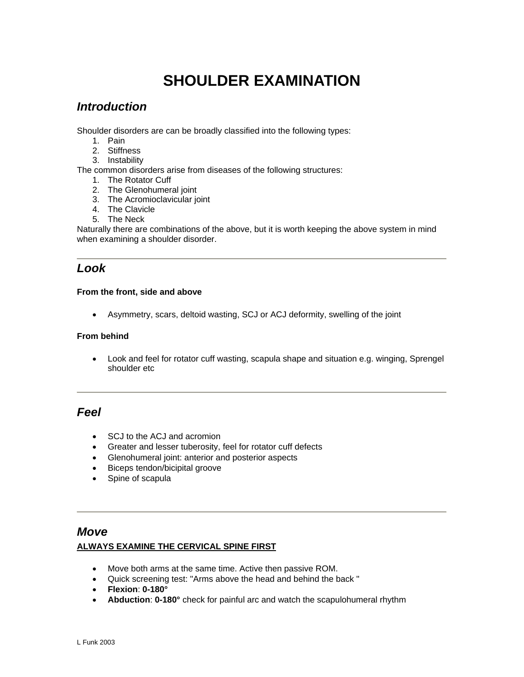# **SHOULDER EXAMINATION**

# *Introduction*

Shoulder disorders are can be broadly classified into the following types:

- 1. Pain
- 2. Stiffness
- 3. Instability

The common disorders arise from diseases of the following structures:

- 1. The Rotator Cuff
- 2. The Glenohumeral joint
- 3. The Acromioclavicular joint
- 4. The Clavicle
- 5. The Neck

Naturally there are combinations of the above, but it is worth keeping the above system in mind when examining a shoulder disorder.

# *Look*

## **From the front, side and above**

• Asymmetry, scars, deltoid wasting, SCJ or ACJ deformity, swelling of the joint

## **From behind**

• Look and feel for rotator cuff wasting, scapula shape and situation e.g. winging, Sprengel shoulder etc

# *Feel*

- SCJ to the ACJ and acromion
- Greater and lesser tuberosity, feel for rotator cuff defects
- Glenohumeral joint: anterior and posterior aspects
- Biceps tendon/bicipital groove
- Spine of scapula

# *Move*

# **ALWAYS EXAMINE THE CERVICAL SPINE FIRST**

- Move both arms at the same time. Active then passive ROM.
- Quick screening test: "Arms above the head and behind the back "
- **Flexion**: **0-180°**
- **Abduction**: **0-180°** check for painful arc and watch the scapulohumeral rhythm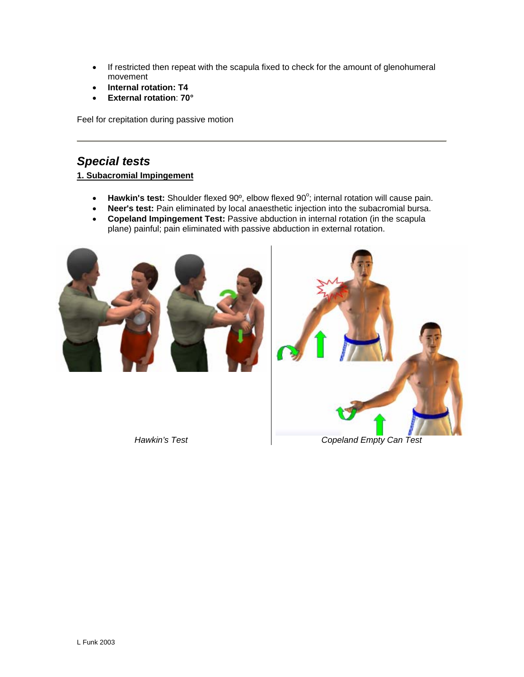- If restricted then repeat with the scapula fixed to check for the amount of glenohumeral movement
- **Internal rotation: T4**
- **External rotation**: **70°**

Feel for crepitation during passive motion

# *Special tests*

# **1. Subacromial Impingement**

- Hawkin's test: Shoulder flexed 90°, elbow flexed 90°; internal rotation will cause pain.
- **Neer's test:** Pain eliminated by local anaesthetic injection into the subacromial bursa.
- **Copeland Impingement Test:** Passive abduction in internal rotation (in the scapula plane) painful; pain eliminated with passive abduction in external rotation.



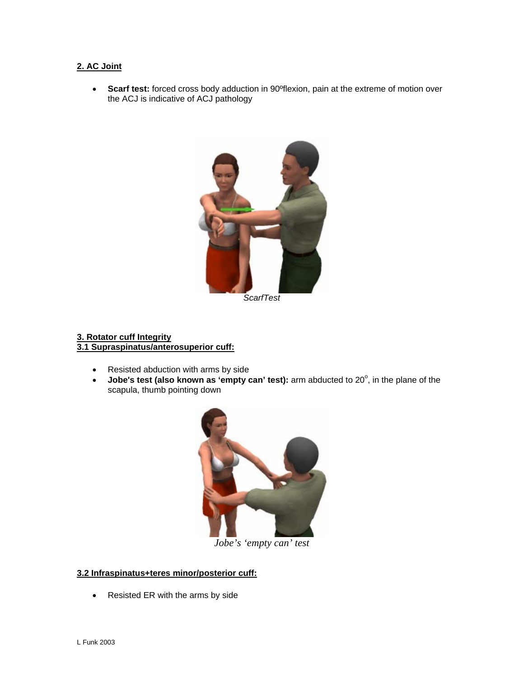# **2. AC Joint**

• **Scarf test:** forced cross body adduction in 90ºflexion, pain at the extreme of motion over the ACJ is indicative of ACJ pathology



*ScarfTest* 

#### **3. Rotator cuff Integrity 3.1 Supraspinatus/anterosuperior cuff:**

- Resisted abduction with arms by side
- Jobe's test (also known as 'empty can' test): arm abducted to 20<sup>°</sup>, in the plane of the scapula, thumb pointing down



*Jobe's 'empty can' test* 

# **3.2 Infraspinatus+teres minor/posterior cuff:**

• Resisted ER with the arms by side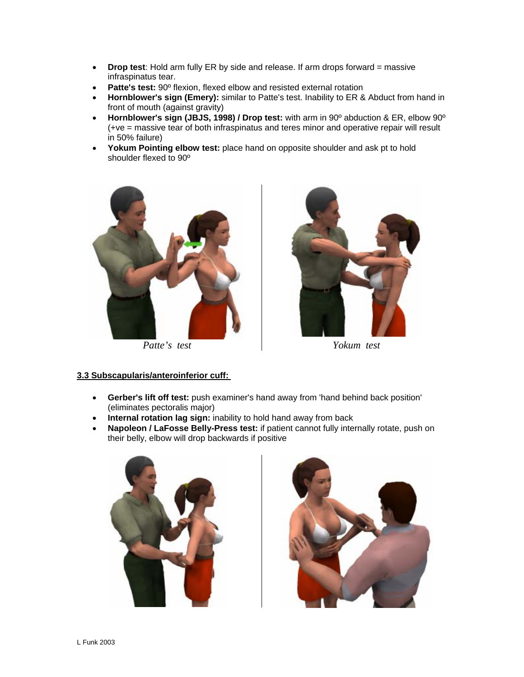- **Drop test**: Hold arm fully ER by side and release. If arm drops forward = massive infraspinatus tear.
- **Patte's test:** 90º flexion, flexed elbow and resisted external rotation
- **Hornblower's sign (Emery):** similar to Patte's test. Inability to ER & Abduct from hand in front of mouth (against gravity)
- **Hornblower's sign (JBJS, 1998) / Drop test:** with arm in 90º abduction & ER, elbow 90º (+ve = massive tear of both infraspinatus and teres minor and operative repair will result in 50% failure)
- **Yokum Pointing elbow test:** place hand on opposite shoulder and ask pt to hold shoulder flexed to 90º



*Patte's test Yokum test* 



#### **3.3 Subscapularis/anteroinferior cuff:**

- **Gerber's lift off test:** push examiner's hand away from 'hand behind back position' (eliminates pectoralis major)
- **Internal rotation lag sign:** inability to hold hand away from back
- **Napoleon / LaFosse Belly-Press test:** if patient cannot fully internally rotate, push on their belly, elbow will drop backwards if positive



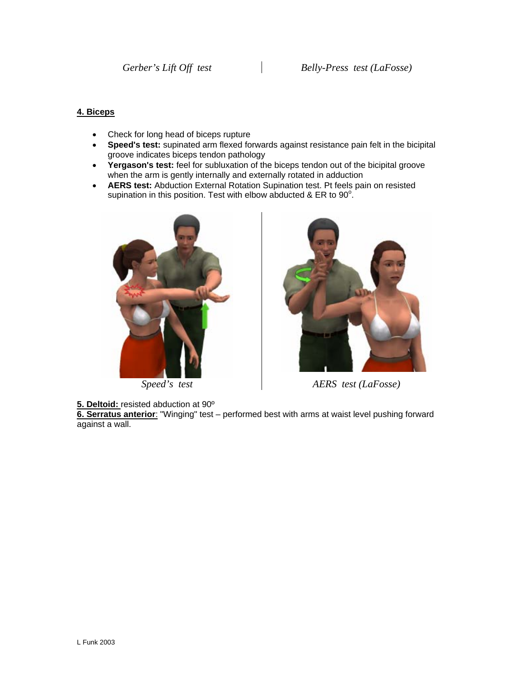## **4. Biceps**

- Check for long head of biceps rupture
- **Speed's test:** supinated arm flexed forwards against resistance pain felt in the bicipital groove indicates biceps tendon pathology
- **Yergason's test:** feel for subluxation of the biceps tendon out of the bicipital groove when the arm is gently internally and externally rotated in adduction
- **AERS test:** Abduction External Rotation Supination test. Pt feels pain on resisted supination in this position. Test with elbow abducted & ER to  $90^\circ$ .



**5. Deltoid:** resisted abduction at 90º

**6. Serratus anterior**: "Winging" test – performed best with arms at waist level pushing forward against a wall.



*Speed's test AERS test (LaFosse)*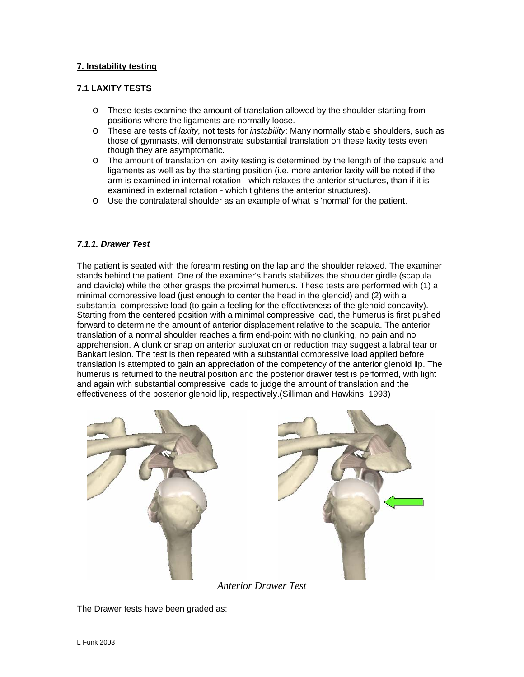# **7. Instability testing**

#### **7.1 LAXITY TESTS**

- o These tests examine the amount of translation allowed by the shoulder starting from positions where the ligaments are normally loose.
- o These are tests of *laxity,* not tests for *instability*: Many normally stable shoulders, such as those of gymnasts, will demonstrate substantial translation on these laxity tests even though they are asymptomatic.
- o The amount of translation on laxity testing is determined by the length of the capsule and ligaments as well as by the starting position (i.e. more anterior laxity will be noted if the arm is examined in internal rotation - which relaxes the anterior structures, than if it is examined in external rotation - which tightens the anterior structures).
- o Use the contralateral shoulder as an example of what is 'normal' for the patient.

#### *7.1.1. Drawer Test*

The patient is seated with the forearm resting on the lap and the shoulder relaxed. The examiner stands behind the patient. One of the examiner's hands stabilizes the shoulder girdle (scapula and clavicle) while the other grasps the proximal humerus. These tests are performed with (1) a minimal compressive load (just enough to center the head in the glenoid) and (2) with a substantial compressive load (to gain a feeling for the effectiveness of the glenoid concavity). Starting from the centered position with a minimal compressive load, the humerus is first pushed forward to determine the amount of anterior displacement relative to the scapula. The anterior translation of a normal shoulder reaches a firm end-point with no clunking, no pain and no apprehension. A clunk or snap on anterior subluxation or reduction may suggest a labral tear or Bankart lesion. The test is then repeated with a substantial compressive load applied before translation is attempted to gain an appreciation of the competency of the anterior glenoid lip. The humerus is returned to the neutral position and the posterior drawer test is performed, with light and again with substantial compressive loads to judge the amount of translation and the effectiveness of the posterior glenoid lip, respectively.(Silliman and Hawkins, 1993)



*Anterior Drawer Test* 

The Drawer tests have been graded as: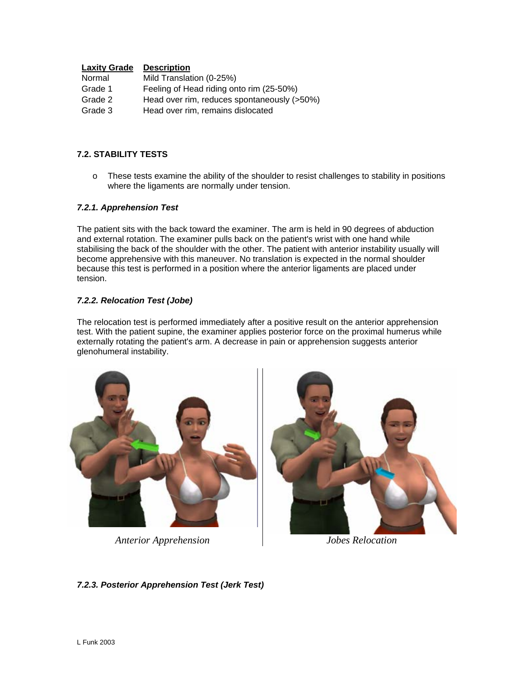## **Laxity Grade Description**

| Normal  | Mild Translation (0-25%)                    |
|---------|---------------------------------------------|
| Grade 1 | Feeling of Head riding onto rim (25-50%)    |
| Grade 2 | Head over rim, reduces spontaneously (>50%) |
| Grade 3 | Head over rim, remains dislocated           |

## **7.2. STABILITY TESTS**

o These tests examine the ability of the shoulder to resist challenges to stability in positions where the ligaments are normally under tension.

## *7.2.1. Apprehension Test*

The patient sits with the back toward the examiner. The arm is held in 90 degrees of abduction and external rotation. The examiner pulls back on the patient's wrist with one hand while stabilising the back of the shoulder with the other. The patient with anterior instability usually will become apprehensive with this maneuver. No translation is expected in the normal shoulder because this test is performed in a position where the anterior ligaments are placed under tension.

## *7.2.2. Relocation Test (Jobe)*

The relocation test is performed immediately after a positive result on the anterior apprehension test. With the patient supine, the examiner applies posterior force on the proximal humerus while externally rotating the patient's arm. A decrease in pain or apprehension suggests anterior glenohumeral instability.



*Anterior Apprehension Jobes Relocation* 



*7.2.3. Posterior Apprehension Test (Jerk Test)*